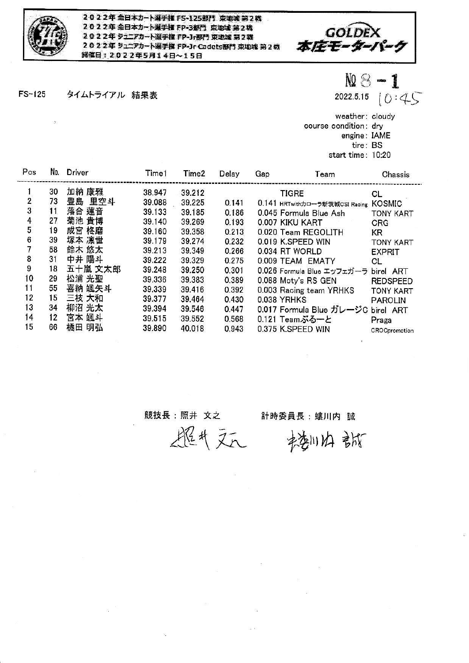

2022年全日本カート選手権 FS-125部門 東地域第2戦 2022年全日本カート選手権 FP-3部門 東地域第2戦 2022年 ジュニアカート選手権 FP-Jr部門 東地域 第2戦 2022年 ジュニアカート選手権 FP-Jr Cadets部門 東地域 第2戦 删催日: 2022年5月14日~15日



タイムトライアル 結果表  $FS-125$ 

 $M \otimes -1$ 

2022.5.15  $(0:45)$ 

weather: cloudy course condition: dry engine: IAME tire: BS start time: 10:20

| Pos            | No. | Driver  | Time1  | Time <sub>2</sub> | Delay | Gap | Team                                  | Chassis          |
|----------------|-----|---------|--------|-------------------|-------|-----|---------------------------------------|------------------|
|                | 30  | 加納 康雅   | 38.947 | 39.212            |       |     | <b>TIGRE</b>                          | CL.              |
| 2<br>3         | 73  | 豊島 里空斗  | 39.088 | 39.225            | 0.141 |     | 0.141 HRTwithカローラ新茨城CSI Racing KOSMIC |                  |
|                | 11  | 落合 蓮音   | 39.133 | 39.185            | 0.186 |     | 0.045 Formula Blue Ash                | <b>TONY KART</b> |
| $\overline{4}$ | 27  | 菊池 貴博   | 39.140 | 39.269            | 0.193 |     | 0.007 KIKU KART                       | <b>CRG</b>       |
| 5              | 19  | 成宮 柊磨   | 39.160 | 39.358            | 0.213 |     | 0.020 Team REGOLITH                   | <b>KR</b>        |
| 6              | 39  | 塚本 凛世   | 39.179 | 39.274            | 0.232 |     | 0.019 K.SPEED WIN                     | <b>TONY KART</b> |
|                | 58  | 鈴木 悠太   | 39.213 | 39.349            | 0.266 |     | 0.034 RT WORLD                        | <b>EXPRIT</b>    |
|                | 31  | 中井 陽斗   | 39.222 | 39.329            | 0.275 |     | 0.009 TEAM EMATY                      | СL               |
| 8<br>9         | 18  | 五十嵐 文太郎 | 39.248 | 39,250            | 0.301 |     | 0.026 Formula Blue エッフェガーラ birel ART  |                  |
| 10             | 29  | 松浦 光聖   | 39.336 | 39.383            | 0.389 |     | 0.088 Moty's RS GEN                   | <b>REDSPEED</b>  |
| 11             | 55  | 喜納 颯矢斗  | 39,339 | 39.416            | 0.392 |     | 0.003 Racing team YRHKS               | <b>TONY KART</b> |
| 12             | 15  | 三枝 大和   | 39,377 | 39.464            | 0.430 |     | <b>0.038 YRHKS</b>                    | <b>PAROLIN</b>   |
| 13             | 34  | 柳沼 光太   | 39.394 | 39.546            | 0.447 |     | 0.017 Formula Blue ガレージC birel ART    |                  |
| 14             | 12  | 宮本 颯斗   | 39.515 | 39.552            | 0.568 |     | 0.121 Teamぶるーと                        | Praga            |
| 15             | 66  | 橘田 明弘   | 39.890 | 40.018            | 0.943 |     | 0.375 K.SPEED WIN                     | CROCpromotion    |

## 競技長:照井 文之

## 計時委員長:螻川内 誠

楼川内部

超气元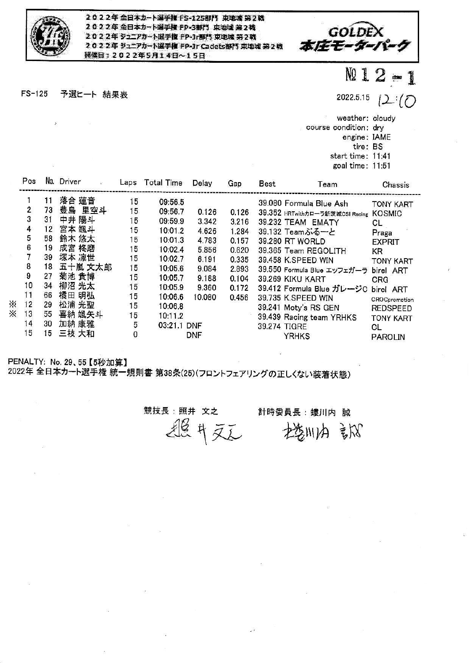

 $\tilde{S}$ 

2022年全日本カート選手権 FS-125部門 東地域第2戦 2022年全日本カート選手権 FP-3部門 東地域 第2戦 2022年ジュニアカート選手権 FP·Jr野門 東地域 第2戦 2022年 ジュニアカート選手権 FP-Jr Cadets部門 東地域 第2戦 **研催日: 2022年5月14日~15日** 



 $FS-125$ 予選ヒート 結果表 NQ 1

2022.5.15 - 7

weather: cloudy

course condition: dry

engine: IAME

tire: BS

start time: 11:41 goal time: 11:51

|    | Pos |    | No. Driver | Laps | Total Time  | Delay      | Gap   | <b>Best</b> | Team                                | Chassis          |
|----|-----|----|------------|------|-------------|------------|-------|-------------|-------------------------------------|------------------|
|    |     |    | 落合 蓮音      | 15   | 09:56.5     |            |       |             | 39.080 Formula Blue Ash             | <b>TONY KART</b> |
|    | 2   | 73 | 豊島 里空斗     | 15   | 09:56.7     | 0.126      | 0.126 |             | 39.352 HRTwithカローラ新茨城CSI Racing     | <b>KOSMIC</b>    |
|    |     | 31 | 中井 陽斗      | 15   | 09:59.9     | 3.342      | 3.216 |             | 39.232 TEAM EMATY                   | CL               |
|    | 4   | 12 | 宮本 颯斗      | 15   | 10:01.2     | 4.626      | 1.284 |             | 39.132 Teamぶるーと                     | Praga            |
|    | 5   | 58 | 鈴木 悠太      | 15   | 10:01.3     | 4.783      | 0.157 |             | 39.280 RT WORLD                     | <b>EXPRIT</b>    |
|    | 6   | 19 | 成宮 柊磨      | 15   | 10:02.4     | 5.856      | 0.620 |             | 39.365 Team REGOLITH                | KR.              |
|    |     | 39 | 塚本 凛世      | 15   | 10:02.7     | 6.191      | 0.335 |             | 39.458 K.SPEED WIN                  | <b>TONY KART</b> |
|    | 8   | 18 | 五十嵐 文太郎    | 15   | 10:05.6     | 9.084      | 2.893 |             | 39.550 Formula Blue エッフェガーラ         | birel ART        |
|    | 9   | 27 | 菊池 貴博      | 15   | 10:05.7     | 9.188      | 0.104 |             | 39.269 KIKU KART                    | CRG              |
|    | 10  | 34 | 柳沼 光太      | 15   | 10:05.9     | 9.360      | 0.172 |             | 39.412 Formula Blue ガレージC birel ART |                  |
|    | 11  | 66 | 橘田 明弘      | 15   | 10:06.6     | 10.080     | 0.456 |             | 39.735 K.SPEED WIN                  | CROCpromotion    |
| ×. | 12  | 29 | 松浦 光聖      | 15   | 10:06.8     |            |       |             | 39.241 Moty's RS GEN                | <b>REDSPEED</b>  |
| ፠  | 13  | 55 | 喜納 颯矢斗     | 15   | 10:11.2     |            |       |             | 39.439 Racing team YRHKS            | <b>TONY KART</b> |
|    | 14  | 30 | 加納 康雅      | 5    | 03:21.1 DNF |            |       |             | 39.274 TIGRE                        | CL               |
|    | 15  | 15 | 三枝 大和      | 0    |             | <b>DNF</b> |       |             | <b>YRHKS</b>                        | <b>PAROLIN</b>   |

PENALTY: No. 29、55【5秒加算】 2022年 全日本カート選手権 統一規則書 第38条(25)(フロントフェアリングの正しくない装着状態)

競技長:照井 文之 計時委員長:螻川内 誠 退气运 控制的 部

 $\overline{\mathcal{L}}$